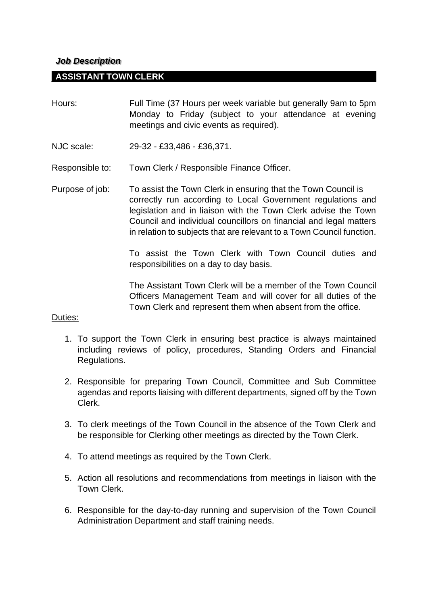## *Job Description*

## **ASSISTANT TOWN CLERK**

- Hours: Full Time (37 Hours per week variable but generally 9am to 5pm Monday to Friday (subject to your attendance at evening meetings and civic events as required).
- NJC scale: 29-32 £33,486 £36,371.
- Responsible to: Town Clerk / Responsible Finance Officer.
- Purpose of job: To assist the Town Clerk in ensuring that the Town Council is correctly run according to Local Government regulations and legislation and in liaison with the Town Clerk advise the Town Council and individual councillors on financial and legal matters in relation to subjects that are relevant to a Town Council function.

To assist the Town Clerk with Town Council duties and responsibilities on a day to day basis.

The Assistant Town Clerk will be a member of the Town Council Officers Management Team and will cover for all duties of the Town Clerk and represent them when absent from the office.

## Duties:

- 1. To support the Town Clerk in ensuring best practice is always maintained including reviews of policy, procedures, Standing Orders and Financial Regulations.
- 2. Responsible for preparing Town Council, Committee and Sub Committee agendas and reports liaising with different departments, signed off by the Town Clerk.
- 3. To clerk meetings of the Town Council in the absence of the Town Clerk and be responsible for Clerking other meetings as directed by the Town Clerk.
- 4. To attend meetings as required by the Town Clerk.
- 5. Action all resolutions and recommendations from meetings in liaison with the Town Clerk.
- 6. Responsible for the day-to-day running and supervision of the Town Council Administration Department and staff training needs.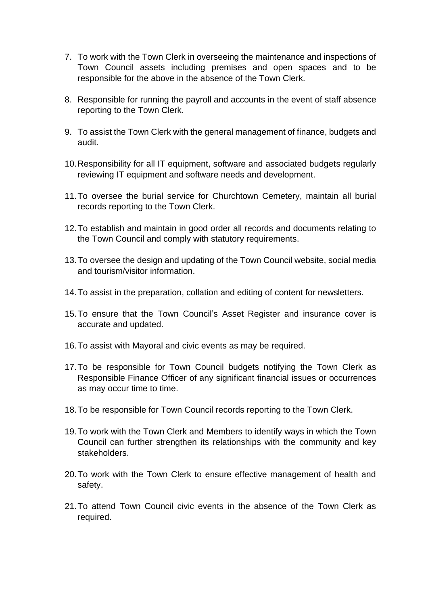- 7. To work with the Town Clerk in overseeing the maintenance and inspections of Town Council assets including premises and open spaces and to be responsible for the above in the absence of the Town Clerk.
- 8. Responsible for running the payroll and accounts in the event of staff absence reporting to the Town Clerk.
- 9. To assist the Town Clerk with the general management of finance, budgets and audit.
- 10.Responsibility for all IT equipment, software and associated budgets regularly reviewing IT equipment and software needs and development.
- 11.To oversee the burial service for Churchtown Cemetery, maintain all burial records reporting to the Town Clerk.
- 12.To establish and maintain in good order all records and documents relating to the Town Council and comply with statutory requirements.
- 13.To oversee the design and updating of the Town Council website, social media and tourism/visitor information.
- 14.To assist in the preparation, collation and editing of content for newsletters.
- 15.To ensure that the Town Council's Asset Register and insurance cover is accurate and updated.
- 16.To assist with Mayoral and civic events as may be required.
- 17.To be responsible for Town Council budgets notifying the Town Clerk as Responsible Finance Officer of any significant financial issues or occurrences as may occur time to time.
- 18.To be responsible for Town Council records reporting to the Town Clerk.
- 19.To work with the Town Clerk and Members to identify ways in which the Town Council can further strengthen its relationships with the community and key stakeholders.
- 20.To work with the Town Clerk to ensure effective management of health and safety.
- 21.To attend Town Council civic events in the absence of the Town Clerk as required.